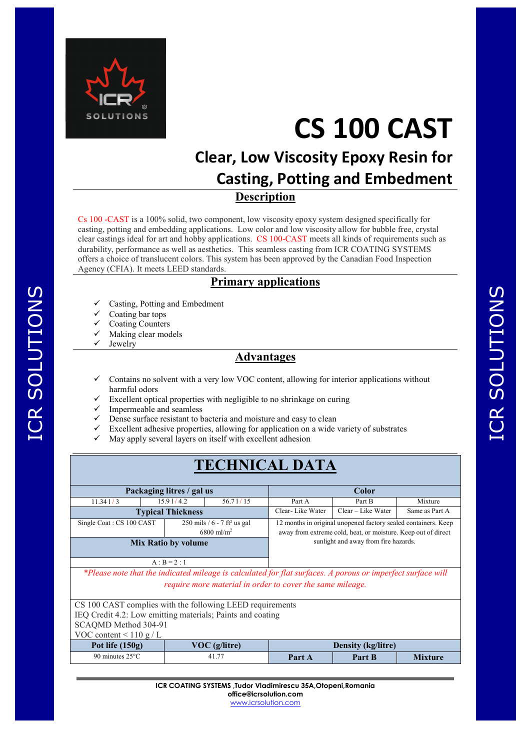

# **CS 100 CAST**

# **Clear, Low Viscosity Epoxy Resin for Casting, Potting and Embedment Description**

Cs 100 -CAST is a 100% solid, two component, low viscosity epoxy system designed specifically for casting, potting and embedding applications. Low color and low viscosity allow for bubble free, crystal clear castings ideal for art and hobby applications. CS 100-CAST meets all kinds of requirements such as durability, performance as well as aesthetics. This seamless casting from ICR COATING SYSTEMS offers a choice of translucent colors. This system has been approved by the Canadian Food Inspection Agency (CFIA). It meets LEED standards.

#### **Primary applications**

- Casting, Potting and Embedment
- Coating bar tops
- Coating Counters
- Making clear models
- Jewelry

ICR SOLUTIONS

ICR SOLUTIONS

#### **Advantages**

- Contains no solvent with a very low VOC content, allowing for interior applications without harmful odors
- Excellent optical properties with negligible to no shrinkage on curing
- Impermeable and seamless
- Dense surface resistant to bacteria and moisture and easy to clean
- Excellent adhesive properties, allowing for application on a wide variety of substrates
- May apply several layers on itself with excellent adhesion

## **TECHNICAL DATA**

| Packaging litres / gal us  |                                                                                                   |  |                          |                                                                                                                                                                         | Color                                                    |        |         |  |
|----------------------------|---------------------------------------------------------------------------------------------------|--|--------------------------|-------------------------------------------------------------------------------------------------------------------------------------------------------------------------|----------------------------------------------------------|--------|---------|--|
|                            | 11.341/3                                                                                          |  | 15.91/4.2                | 56.71/15                                                                                                                                                                | Part A                                                   | Part B | Mixture |  |
|                            |                                                                                                   |  | <b>Typical Thickness</b> |                                                                                                                                                                         | Clear-Like Water<br>Clear – Like Water<br>Same as Part A |        |         |  |
|                            | 250 mils / $6 - 7$ ft <sup>2</sup> us gal<br>Single Coat: CS 100 CAST<br>$6800$ ml/m <sup>2</sup> |  |                          | 12 months in original unopened factory sealed containers. Keep<br>away from extreme cold, heat, or moisture. Keep out of direct<br>sunlight and away from fire hazards. |                                                          |        |         |  |
| <b>Mix Ratio by volume</b> |                                                                                                   |  |                          |                                                                                                                                                                         |                                                          |        |         |  |
|                            |                                                                                                   |  |                          |                                                                                                                                                                         |                                                          |        |         |  |

 $A : B = 2 : 1$ 

*\*Please note that the indicated mileage is calculated for flat surfaces. A porous or imperfect surface will require more material in order to cover the same mileage.* 

| CS 100 CAST complies with the following LEED requirements  |                           |        |                |  |  |
|------------------------------------------------------------|---------------------------|--------|----------------|--|--|
| IEQ Credit 4.2: Low emitting materials; Paints and coating |                           |        |                |  |  |
| SCAQMD Method 304-91                                       |                           |        |                |  |  |
| VOC content $\leq 110 \text{ g}/L$                         |                           |        |                |  |  |
| $VOC$ (g/litre)                                            | <b>Density (kg/litre)</b> |        |                |  |  |
| 41.77                                                      | Part A                    | Part B | <b>Mixture</b> |  |  |
|                                                            |                           |        |                |  |  |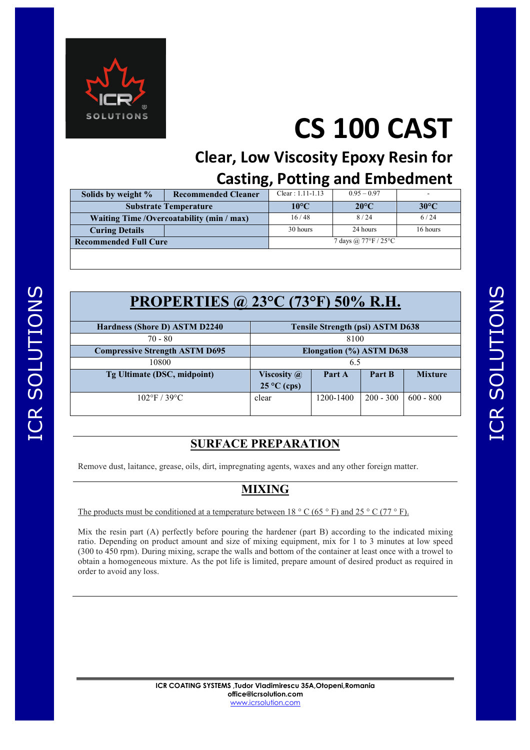

# **CS 100 CAST**

# **Clear, Low Viscosity Epoxy Resin for Casting, Potting and Embedment**

| Solids by weight %                         | <b>Recommended Cleaner</b> | $Clear: 1.11-1.13$                       | $0.95 - 0.97$  |                |
|--------------------------------------------|----------------------------|------------------------------------------|----------------|----------------|
| <b>Substrate Temperature</b>               |                            | $10^{\circ}$ C                           | $20^{\circ}$ C | $30^{\circ}$ C |
| Waiting Time / Overcoatability (min / max) |                            | 16/48                                    | 8/24           | 6/24           |
| <b>Curing Details</b>                      |                            | 30 hours                                 | 24 hours       | 16 hours       |
| <b>Recommended Full Cure</b>               |                            | 7 days @ $77^{\circ}$ F / $25^{\circ}$ C |                |                |
|                                            |                            |                                          |                |                |

| <b>PROPERTIES</b> @ 23 $^{\circ}$ C (73 $^{\circ}$ F) 50% R.H. |                                         |           |             |                |  |
|----------------------------------------------------------------|-----------------------------------------|-----------|-------------|----------------|--|
| Hardness (Shore D) ASTM D2240                                  | <b>Tensile Strength (psi) ASTM D638</b> |           |             |                |  |
| $70 - 80$                                                      | 8100                                    |           |             |                |  |
| <b>Compressive Strength ASTM D695</b>                          | Elongation (%) ASTM D638                |           |             |                |  |
| 10800                                                          | 6.5                                     |           |             |                |  |
| Tg Ultimate (DSC, midpoint)                                    | Viscosity $\omega$                      | Part A    | Part B      | <b>Mixture</b> |  |
|                                                                | $25^{\circ}$ C (cps)                    |           |             |                |  |
| $102^{\circ}F / 39^{\circ}C$                                   | clear                                   | 1200-1400 | $200 - 300$ | $600 - 800$    |  |
|                                                                |                                         |           |             |                |  |

### **SURFACE PREPARATION**

Remove dust, laitance, grease, oils, dirt, impregnating agents, waxes and any other foreign matter.

### **MIXING**

The products must be conditioned at a temperature between  $18 \degree \text{C}$  (65  $\degree$  F) and 25  $\degree$  C (77  $\degree$  F).

Mix the resin part (A) perfectly before pouring the hardener (part B) according to the indicated mixing ratio. Depending on product amount and size of mixing equipment, mix for 1 to 3 minutes at low speed (300 to 450 rpm). During mixing, scrape the walls and bottom of the container at least once with a trowel to obtain a homogeneous mixture. As the pot life is limited, prepare amount of desired product as required in order to avoid any loss.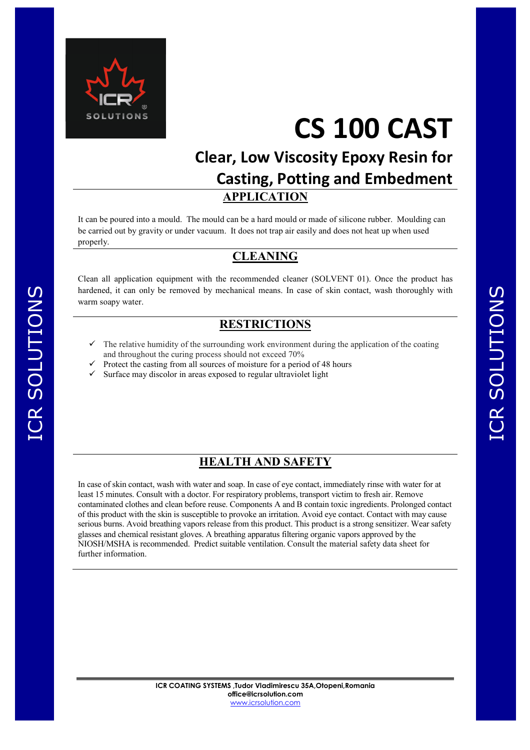

ICR SOLUTIONS

ICR SOLUTIONS

# **CS 100 CAST**

# **Clear, Low Viscosity Epoxy Resin for Casting, Potting and Embedment APPLICATION**

It can be poured into a mould. The mould can be a hard mould or made of silicone rubber. Moulding can be carried out by gravity or under vacuum. It does not trap air easily and does not heat up when used properly.

#### **CLEANING**

Clean all application equipment with the recommended cleaner (SOLVENT 01). Once the product has hardened, it can only be removed by mechanical means. In case of skin contact, wash thoroughly with warm soapy water.

#### **RESTRICTIONS**

- The relative humidity of the surrounding work environment during the application of the coating and throughout the curing process should not exceed 70%
- Protect the casting from all sources of moisture for a period of 48 hours
- Surface may discolor in areas exposed to regular ultraviolet light

#### **HEALTH AND SAFETY**

In case of skin contact, wash with water and soap. In case of eye contact, immediately rinse with water for at least 15 minutes. Consult with a doctor. For respiratory problems, transport victim to fresh air. Remove contaminated clothes and clean before reuse. Components A and B contain toxic ingredients. Prolonged contact of this product with the skin is susceptible to provoke an irritation. Avoid eye contact. Contact with may cause serious burns. Avoid breathing vapors release from this product. This product is a strong sensitizer. Wear safety glasses and chemical resistant gloves. A breathing apparatus filtering organic vapors approved by the NIOSH/MSHA is recommended. Predict suitable ventilation. Consult the material safety data sheet for further information.